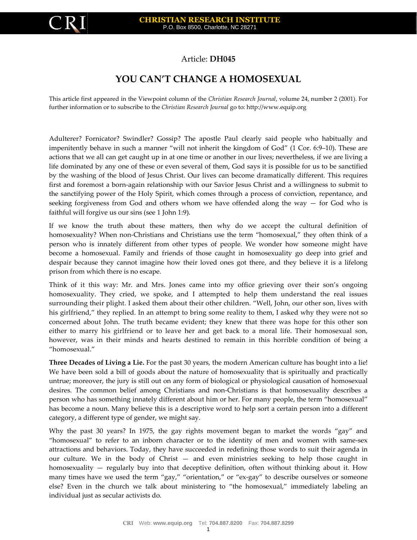

## Article: **DH045**

## **YOU CAN'T CHANGE A HOMOSEXUAL**

This article first appeared in the Viewpoint column of the *Christian Research Journal*, volume 24, number 2 (2001). For further information or to subscribe to the *Christian Research Journal* go to: [http://www.equip.org](http://www.equip.org/)

Adulterer? Fornicator? Swindler? Gossip? The apostle Paul clearly said people who habitually and impenitently behave in such a manner "will not inherit the kingdom of God" (1 Cor. 6:9–10). These are actions that we all can get caught up in at one time or another in our lives; nevertheless, if we are living a life dominated by any one of these or even several of them, God says it is possible for us to be sanctified by the washing of the blood of Jesus Christ. Our lives can become dramatically different. This requires first and foremost a born-again relationship with our Savior Jesus Christ and a willingness to submit to the sanctifying power of the Holy Spirit, which comes through a process of conviction, repentance, and seeking forgiveness from God and others whom we have offended along the way  $-$  for God who is faithful will forgive us our sins (see 1 John 1:9).

If we know the truth about these matters, then why do we accept the cultural definition of homosexuality? When non-Christians and Christians use the term "homosexual," they often think of a person who is innately different from other types of people. We wonder how someone might have become a homosexual. Family and friends of those caught in homosexuality go deep into grief and despair because they cannot imagine how their loved ones got there, and they believe it is a lifelong prison from which there is no escape.

Think of it this way: Mr. and Mrs. Jones came into my office grieving over their son's ongoing homosexuality. They cried, we spoke, and I attempted to help them understand the real issues surrounding their plight. I asked them about their other children. "Well, John, our other son, lives with his girlfriend," they replied. In an attempt to bring some reality to them, I asked why they were not so concerned about John. The truth became evident; they knew that there was hope for this other son either to marry his girlfriend or to leave her and get back to a moral life. Their homosexual son, however, was in their minds and hearts destined to remain in this horrible condition of being a "homosexual."

**Three Decades of Living a Lie.** For the past 30 years, the modern American culture has bought into a lie! We have been sold a bill of goods about the nature of homosexuality that is spiritually and practically untrue; moreover, the jury is still out on any form of biological or physiological causation of homosexual desires. The common belief among Christians and non-Christians is that homosexuality describes a person who has something innately different about him or her. For many people, the term "homosexual" has become a noun. Many believe this is a descriptive word to help sort a certain person into a different category, a different type of gender, we might say.

Why the past 30 years? In 1975, the gay rights movement began to market the words "gay" and "homosexual" to refer to an inborn character or to the identity of men and women with same-sex attractions and behaviors. Today, they have succeeded in redefining those words to suit their agenda in our culture. We in the body of Christ — and even ministries seeking to help those caught in homosexuality — regularly buy into that deceptive definition, often without thinking about it. How many times have we used the term "gay," "orientation," or "ex-gay" to describe ourselves or someone else? Even in the church we talk about ministering to "the homosexual," immediately labeling an individual just as secular activists do.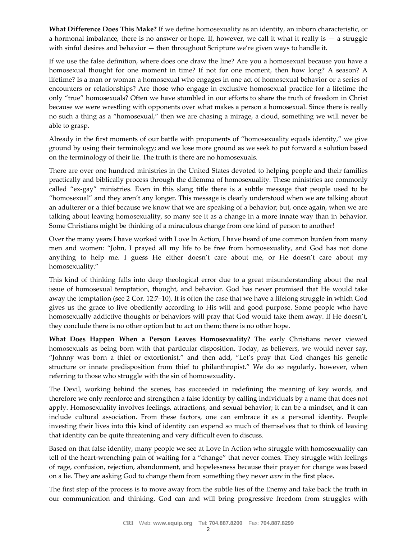**What Difference Does This Make?** If we define homosexuality as an identity, an inborn characteristic, or a hormonal imbalance, there is no answer or hope. If, however, we call it what it really is  $-$  a struggle with sinful desires and behavior — then throughout Scripture we're given ways to handle it.

If we use the false definition, where does one draw the line? Are you a homosexual because you have a homosexual thought for one moment in time? If not for one moment, then how long? A season? A lifetime? Is a man or woman a homosexual who engages in one act of homosexual behavior or a series of encounters or relationships? Are those who engage in exclusive homosexual practice for a lifetime the only "true" homosexuals? Often we have stumbled in our efforts to share the truth of freedom in Christ because we were wrestling with opponents over what makes a person a homosexual. Since there is really no such a thing as a "homosexual," then we are chasing a mirage, a cloud, something we will never be able to grasp.

Already in the first moments of our battle with proponents of "homosexuality equals identity," we give ground by using their terminology; and we lose more ground as we seek to put forward a solution based on the terminology of their lie. The truth is there are no homosexuals.

There are over one hundred ministries in the United States devoted to helping people and their families practically and biblically process through the dilemma of homosexuality. These ministries are commonly called "ex-gay" ministries. Even in this slang title there is a subtle message that people used to be "homosexual" and they aren't any longer. This message is clearly understood when we are talking about an adulterer or a thief because we know that we are speaking of a behavior; but, once again, when we are talking about leaving homosexuality, so many see it as a change in a more innate way than in behavior. Some Christians might be thinking of a miraculous change from one kind of person to another!

Over the many years I have worked with Love In Action, I have heard of one common burden from many men and women: "John, I prayed all my life to be free from homosexuality, and God has not done anything to help me. I guess He either doesn't care about me, or He doesn't care about my homosexuality."

This kind of thinking falls into deep theological error due to a great misunderstanding about the real issue of homosexual temptation, thought, and behavior. God has never promised that He would take away the temptation (see 2 Cor. 12:7–10). It is often the case that we have a lifelong struggle in which God gives us the grace to live obediently according to His will and good purpose. Some people who have homosexually addictive thoughts or behaviors will pray that God would take them away. If He doesn't, they conclude there is no other option but to act on them; there is no other hope.

**What Does Happen When a Person Leaves Homosexuality?** The early Christians never viewed homosexuals as being born with that particular disposition. Today, as believers, we would never say, "Johnny was born a thief or extortionist," and then add, "Let's pray that God changes his genetic structure or innate predisposition from thief to philanthropist." We do so regularly, however, when referring to those who struggle with the sin of homosexuality.

The Devil, working behind the scenes, has succeeded in redefining the meaning of key words, and therefore we only reenforce and strengthen a false identity by calling individuals by a name that does not apply. Homosexuality involves feelings, attractions, and sexual behavior; it can be a mindset, and it can include cultural association. From these factors, one can embrace it as a personal identity. People investing their lives into this kind of identity can expend so much of themselves that to think of leaving that identity can be quite threatening and very difficult even to discuss.

Based on that false identity, many people we see at Love In Action who struggle with homosexuality can tell of the heart-wrenching pain of waiting for a "change" that never comes. They struggle with feelings of rage, confusion, rejection, abandonment, and hopelessness because their prayer for change was based on a lie. They are asking God to change them from something they never *were* in the first place.

The first step of the process is to move away from the subtle lies of the Enemy and take back the truth in our communication and thinking. God can and will bring progressive freedom from struggles with